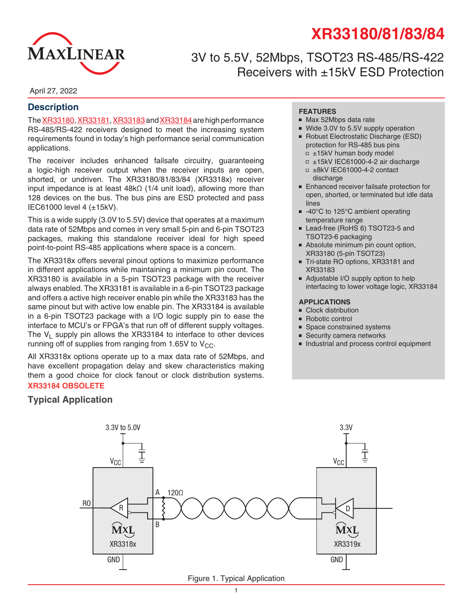# **XR33180/81/83/84**



## 3V to 5.5V, 52Mbps, TSOT23 RS-485/RS-422 Receivers with ±15kV ESD Protection

April 27, 2022

#### **Description**

The [XR33180](http://www.exar.com/XR33180), [XR3318](http://www.exar.com/XR33184)1, XR33183 and XR33184 are high performance RS-485/RS-422 receivers designed to meet the increasing system requirements found in today's high performance serial communication applications.

The receiver includes enhanced failsafe circuitry, guaranteeing a logic-high receiver output when the receiver inputs are open, shorted, or undriven. The XR33180/81/83/84 (XR3318x) receiver input impedance is at least 48kΩ (1/4 unit load), allowing more than 128 devices on the bus. The bus pins are ESD protected and pass IEC61000 level 4 (±15kV).

This is a wide supply (3.0V to 5.5V) device that operates at a maximum data rate of 52Mbps and comes in very small 5-pin and 6-pin TSOT23 packages, making this standalone receiver ideal for high speed point-to-point RS-485 applications where space is a concern.

The XR3318x offers several pinout options to maximize performance in different applications while maintaining a minimum pin count. The XR33180 is available in a 5-pin TSOT23 package with the receiver always enabled. The XR33181 is available in a 6-pin TSOT23 package and offers a active high receiver enable pin while the XR33183 has the same pinout but with active low enable pin. The XR33184 is available in a 6-pin TSOT23 package with a I/O logic supply pin to ease the interface to MCU's or FPGA's that run off of different supply voltages. The  $V_1$  supply pin allows the XR33184 to interface to other devices running off of supplies from ranging from 1.65V to  $V_{CC}$ .

All XR3318x options operate up to a max data rate of 52Mbps, and have excellent propagation delay and skew characteristics making them a good choice for clock fanout or clock distribution systems. **XR33184 OBSOLETE**

#### **FEATURES**

- Max 52Mbps data rate
- Wide 3.0V to 5.5V supply operation
- Robust Electrostatic Discharge (ESD) protection for RS-485 bus pins
	- $\Box$  ±15kV human body model
	- ■ ±15kV IEC61000-4-2 air discharge
	- $\Box$  ±8kV IEC61000-4-2 contact discharge
- Enhanced receiver failsafe protection for open, shorted, or terminated but idle data lines
- -40°C to 125°C ambient operating temperature range
- Lead-free (RoHS 6) TSOT23-5 and TSOT23-6 packaging
- Absolute minimum pin count option, XR33180 (5-pin TSOT23)
- Tri-state RO options, XR33181 and XR33183
- Adjustable I/O supply option to help interfacing to lower voltage logic, XR33184

#### **APPLICATIONS**

- Clock distribution
- Robotic control
- Space constrained systems
- Security camera networks
- Industrial and process control equipment



## **Typical Application**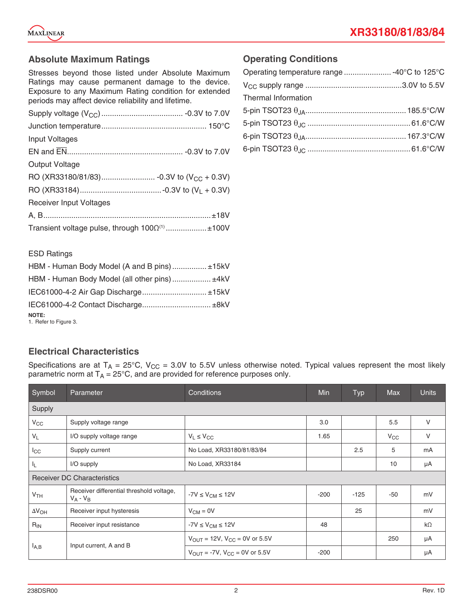

#### **Absolute Maximum Ratings**

Stresses beyond those listed under Absolute Maximum Ratings may cause permanent damage to the device. Exposure to any Maximum Rating condition for extended periods may affect device reliability and lifetime.

| Input Voltages                 |                                                     |
|--------------------------------|-----------------------------------------------------|
|                                |                                                     |
| Output Voltage                 |                                                     |
|                                |                                                     |
|                                |                                                     |
| <b>Receiver Input Voltages</b> |                                                     |
|                                |                                                     |
|                                | Transient voltage pulse, through $1000^{(1)}$ ±100V |

#### **Operating Conditions**

| Operating temperature range  -40°C to 125°C |  |
|---------------------------------------------|--|
|                                             |  |
| Thermal Information                         |  |
|                                             |  |
|                                             |  |
|                                             |  |
|                                             |  |

#### ESD Ratings

| HBM - Human Body Model (A and B pins) ±15kV  |  |
|----------------------------------------------|--|
| HBM - Human Body Model (all other pins) ±4kV |  |
| IEC61000-4-2 Air Gap Discharge ±15kV         |  |
|                                              |  |
| <b>NOTE:</b><br>1. Refer to Figure 3.        |  |

## **Electrical Characteristics**

Specifications are at  $T_A = 25^{\circ}$ C, V<sub>CC</sub> = 3.0V to 5.5V unless otherwise noted. Typical values represent the most likely parametric norm at  $T_A = 25^{\circ}$ C, and are provided for reference purposes only.

| Symbol          | Parameter                                               | Conditions                                            | Min    | Typ    | <b>Max</b>   | <b>Units</b> |
|-----------------|---------------------------------------------------------|-------------------------------------------------------|--------|--------|--------------|--------------|
| Supply          |                                                         |                                                       |        |        |              |              |
| $V_{CC}$        | Supply voltage range                                    |                                                       | 3.0    |        | 5.5          | V            |
| $V_L$           | I/O supply voltage range                                | $V_L \leq V_{CC}$                                     | 1.65   |        | $V_{\rm CC}$ | $\vee$       |
| $I_{\rm CC}$    | Supply current                                          | No Load, XR33180/81/83/84                             |        | 2.5    | 5            | mA           |
| IL.             | I/O supply                                              | No Load, XR33184                                      |        |        | 10           | μA           |
|                 | <b>Receiver DC Characteristics</b>                      |                                                       |        |        |              |              |
| V <sub>TH</sub> | Receiver differential threshold voltage,<br>$V_A - V_B$ | $-7V \leq V_{CM} \leq 12V$                            | $-200$ | $-125$ | -50          | mV           |
| $\Delta V_{OH}$ | Receiver input hysteresis                               | $V_{CM} = 0V$                                         |        | 25     |              | mV           |
| $R_{IN}$        | Receiver input resistance                               | $-7V \leq V_{CM} \leq 12V$                            | 48     |        |              | $k\Omega$    |
|                 |                                                         | $V_{\text{OUT}} = 12V$ , $V_{\text{CC}} = 0V$ or 5.5V |        |        | 250          | μA           |
| $I_{A,B}$       | Input current, A and B                                  | $V_{\text{OUT}} = -7V$ , $V_{\text{CC}} = 0V$ or 5.5V | $-200$ |        |              | μA           |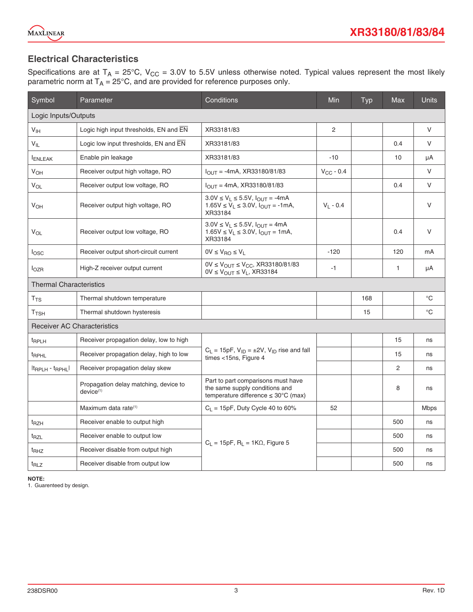

## **Electrical Characteristics**

Specifications are at T<sub>A</sub> = 25°C, V<sub>CC</sub> = 3.0V to 5.5V unless otherwise noted. Typical values represent the most likely parametric norm at  $T_\mathsf{A}$  = 25°C, and are provided for reference purposes only.

| Symbol                         | Parameter                                               | Conditions                                                                                                               | Min            | Typ | <b>Max</b>     | <b>Units</b> |
|--------------------------------|---------------------------------------------------------|--------------------------------------------------------------------------------------------------------------------------|----------------|-----|----------------|--------------|
| Logic Inputs/Outputs           |                                                         |                                                                                                                          |                |     |                |              |
| V <sub>IH</sub>                | Logic high input thresholds, EN and EN                  | XR33181/83                                                                                                               | $\overline{2}$ |     |                | V            |
| $V_{IL}$                       | Logic low input thresholds, EN and EN                   | XR33181/83                                                                                                               |                |     | 0.4            | V            |
| <b>ENLEAK</b>                  | Enable pin leakage                                      | XR33181/83                                                                                                               | $-10$          |     | 10             | μA           |
| $V_{OH}$                       | Receiver output high voltage, RO                        | $I_{\text{OUT}} = -4 \text{mA}$ , XR33180/81/83                                                                          | $V_{CC} - 0.4$ |     |                | V            |
| $V_{OL}$                       | Receiver output low voltage, RO                         | $I_{OIII}$ = 4mA, XR33180/81/83                                                                                          |                |     | 0.4            | V            |
| <b>V<sub>OH</sub></b>          | Receiver output high voltage, RO                        | $3.0V \le V_1 \le 5.5V$ , $I_{OUT} = -4mA$<br>$1.65V \le V_1 \le 3.0V$ , $I_{\text{OUT}} = -1 \text{mA}$ ,<br>XR33184    | $V_L - 0.4$    |     |                | V            |
| $V_{OL}$                       | Receiver output low voltage, RO                         | $3.0V \le V_L \le 5.5V$ , $I_{OUT} = 4mA$<br>$1.65V \le V_L \le 3.0V$ , $I_{OUT} = 1mA$ ,<br>XR33184                     |                |     | 0.4            | $\vee$       |
| $I_{\text{OSC}}$               | Receiver output short-circuit current                   | $0V \leq V_{RO} \leq V_L$                                                                                                | $-120$         |     | 120            | mA           |
| I <sub>OZR</sub>               | High-Z receiver output current                          | $0V \le V_{OUT} \le V_{CC}$ , XR33180/81/83<br>$0V \leq V_{OUT} \leq V_L$ , XR33184                                      | $-1$           |     | $\mathbf{1}$   | μA           |
| <b>Thermal Characteristics</b> |                                                         |                                                                                                                          |                |     |                |              |
| $T_{TS}$                       | Thermal shutdown temperature                            |                                                                                                                          |                | 168 |                | $^{\circ}C$  |
| T <sub>TSH</sub>               | Thermal shutdown hysteresis                             |                                                                                                                          |                | 15  |                | $^{\circ}C$  |
|                                | <b>Receiver AC Characteristics</b>                      |                                                                                                                          |                |     |                |              |
| <sup>t</sup> RPLH              | Receiver propagation delay, low to high                 |                                                                                                                          |                |     | 15             | ns           |
| <sup>t</sup> RPHL              | Receiver propagation delay, high to low                 | $C_L = 15pF$ , $V_{ID} = \pm 2V$ , $V_{ID}$ rise and fall<br>times <15ns, Figure 4                                       |                |     | 15             | ns           |
| $ t_{RPLH} - t_{RPHL} $        | Receiver propagation delay skew                         |                                                                                                                          |                |     | $\overline{2}$ | ns           |
|                                | Propagation delay matching, device to<br>$device^{(1)}$ | Part to part comparisons must have<br>the same supply conditions and<br>temperature difference $\leq 30^{\circ}$ C (max) |                |     | 8              | ns           |
|                                | Maximum data rate <sup>(1)</sup>                        | $C_L = 15pF$ , Duty Cycle 40 to 60%                                                                                      | 52             |     |                | <b>Mbps</b>  |
| <sup>t</sup> RZH               | Receiver enable to output high                          |                                                                                                                          |                |     | 500            | ns           |
| t <sub>RZL</sub>               | Receiver enable to output low                           |                                                                                                                          |                |     | 500            | ns           |
| <sup>t</sup> RHZ               | Receiver disable from output high                       | $C_1 = 15pF$ , R <sub>1</sub> = 1K $\Omega$ , Figure 5                                                                   |                |     | 500            | ns           |
| <sup>t</sup> RLZ               | Receiver disable from output low                        |                                                                                                                          |                |     | 500            | ns           |

**NOTE:** 

1. Guarenteed by design.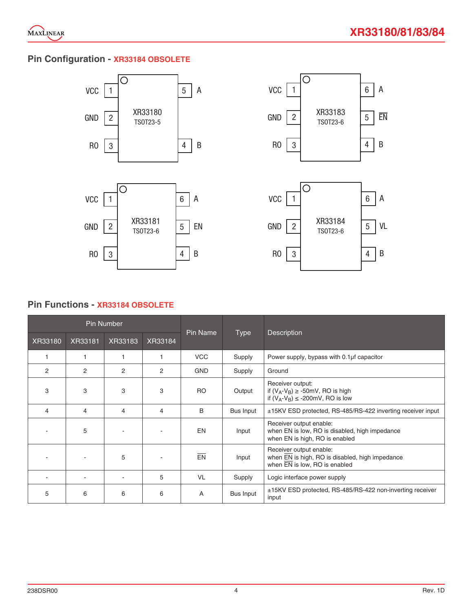

## **Pin Configuration - XR33184 OBSOLETE**









#### **Pin Functions - XR33184 OBSOLETE**

|         |                | <b>Pin Number</b> |                |                |           |                                                                                                             |  |  |
|---------|----------------|-------------------|----------------|----------------|-----------|-------------------------------------------------------------------------------------------------------------|--|--|
| XR33180 | XR33181        | XR33183           | XR33184        | Pin Name       | Type      | <b>Description</b>                                                                                          |  |  |
|         | 1              |                   |                | <b>VCC</b>     | Supply    | Power supply, bypass with 0.1µf capacitor                                                                   |  |  |
| 2       | $\overline{2}$ | $\overline{2}$    | $\overline{2}$ | <b>GND</b>     | Supply    | Ground                                                                                                      |  |  |
| 3       | 3              | 3                 | 3              | R <sub>O</sub> | Output    | Receiver output:<br>if $(V_A-V_B) \ge -50$ mV, RO is high<br>if $(V_A-V_B) \le -200$ mV, RO is low          |  |  |
| 4       | $\overline{4}$ | 4                 | 4              | B              | Bus Input | ±15KV ESD protected, RS-485/RS-422 inverting receiver input                                                 |  |  |
|         | 5              |                   |                | <b>EN</b>      | Input     | Receiver output enable:<br>when EN is low, RO is disabled, high impedance<br>when EN is high, RO is enabled |  |  |
|         |                | 5                 |                | EN             | Input     | Receiver output enable:<br>when EN is high, RO is disabled, high impedance<br>when EN is low, RO is enabled |  |  |
|         |                |                   | 5              | <b>VL</b>      | Supply    | Logic interface power supply                                                                                |  |  |
| 5       | 6              | 6                 | 6              | A              | Bus Input | ±15KV ESD protected, RS-485/RS-422 non-inverting receiver<br>input                                          |  |  |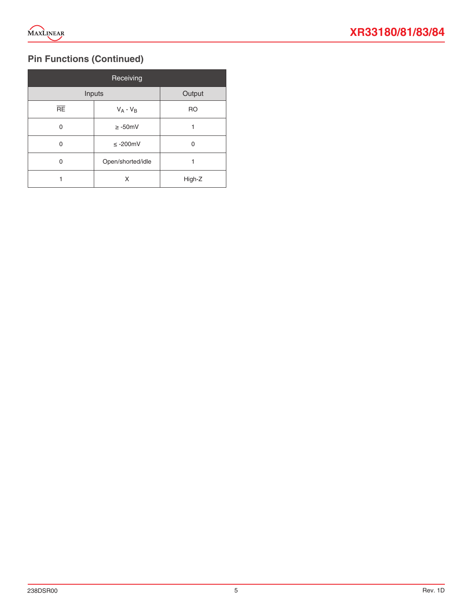

## **Pin Functions (Continued)**

|                 | Receiving         |           |
|-----------------|-------------------|-----------|
| Inputs          | Output            |           |
| $\overline{RE}$ | $V_A - V_B$       | <b>RO</b> |
| 0               | $\geq -50$ mV     |           |
| 0               | $\leq$ -200mV     | 0         |
| 0               | Open/shorted/idle |           |
|                 | X                 | High-Z    |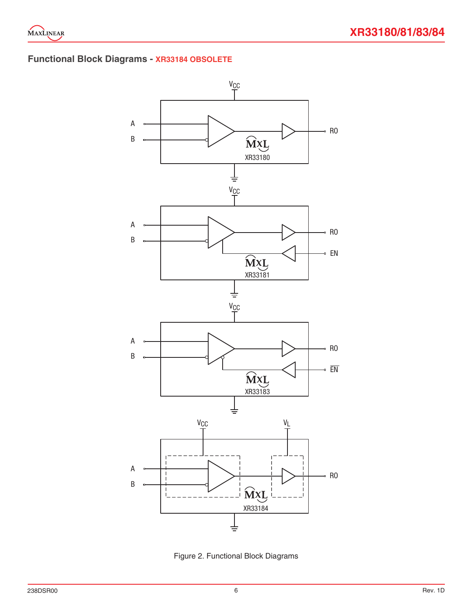

## **Functional Block Diagrams - XR33184 OBSOLETE**



Figure 2. Functional Block Diagrams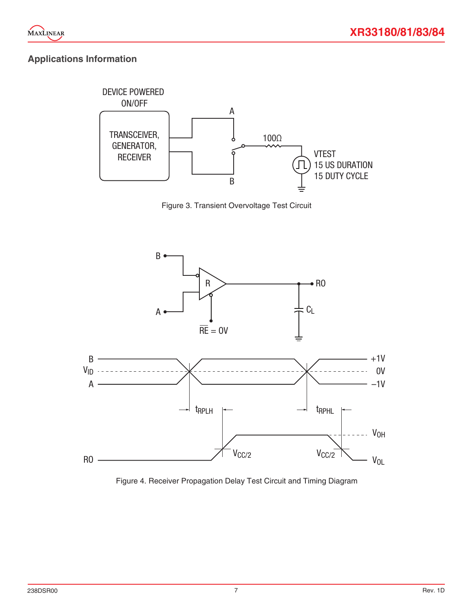

## **Applications Information**



Figure 3. Transient Overvoltage Test Circuit



Figure 4. Receiver Propagation Delay Test Circuit and Timing Diagram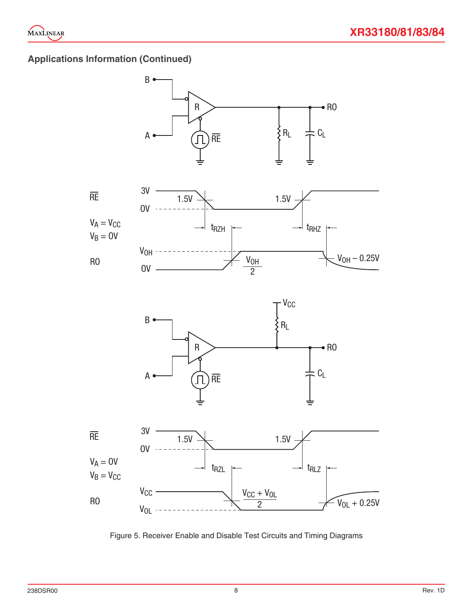

## **Applications Information (Continued)**



Figure 5. Receiver Enable and Disable Test Circuits and Timing Diagrams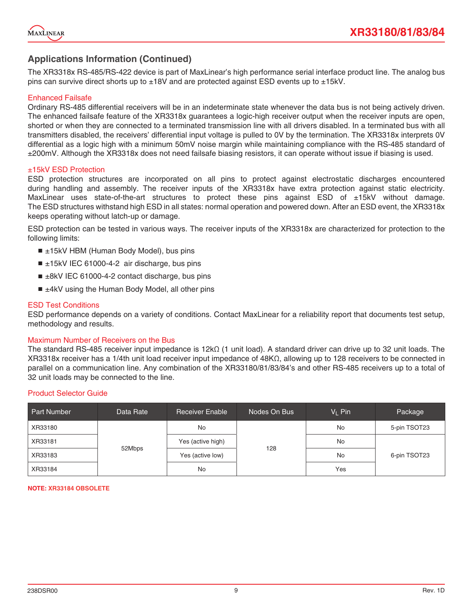

#### **Applications Information (Continued)**

The XR3318x RS-485/RS-422 device is part of MaxLinear's high performance serial interface product line. The analog bus pins can survive direct shorts up to ±18V and are protected against ESD events up to ±15kV.

#### Enhanced Failsafe

Ordinary RS-485 differential receivers will be in an indeterminate state whenever the data bus is not being actively driven. The enhanced failsafe feature of the XR3318x guarantees a logic-high receiver output when the receiver inputs are open, shorted or when they are connected to a terminated transmission line with all drivers disabled. In a terminated bus with all transmitters disabled, the receivers' differential input voltage is pulled to 0V by the termination. The XR3318x interprets 0V differential as a logic high with a minimum 50mV noise margin while maintaining compliance with the RS-485 standard of ±200mV. Although the XR3318x does not need failsafe biasing resistors, it can operate without issue if biasing is used.

#### ±15kV ESD Protection

ESD protection structures are incorporated on all pins to protect against electrostatic discharges encountered during handling and assembly. The receiver inputs of the XR3318x have extra protection against static electricity. MaxLinear uses state-of-the-art structures to protect these pins against  $ESD$  of  $\pm$ 15kV without damage. The ESD structures withstand high ESD in all states: normal operation and powered down. After an ESD event, the XR3318x keeps operating without latch-up or damage.

ESD protection can be tested in various ways. The receiver inputs of the XR3318x are characterized for protection to the following limits:

- $\blacksquare$  ±15kV HBM (Human Body Model), bus pins
- ±15kV IEC 61000-4-2 air discharge, bus pins
- ±8kV IEC 61000-4-2 contact discharge, bus pins
- ±4kV using the Human Body Model, all other pins

#### ESD Test Conditions

ESD performance depends on a variety of conditions. Contact MaxLinear for a reliability report that documents test setup, methodology and results.

#### Maximum Number of Receivers on the Bus

The standard RS-485 receiver input impedance is 12kΩ (1 unit load). A standard driver can drive up to 32 unit loads. The XR3318x receiver has a 1/4th unit load receiver input impedance of 48KΩ, allowing up to 128 receivers to be connected in parallel on a communication line. Any combination of the XR33180/81/83/84's and other RS-485 receivers up to a total of 32 unit loads may be connected to the line.

#### Product Selector Guide

| <b>Part Number</b> | Data Rate | <b>Receiver Enable</b> | Nodes On Bus | $V_L$ Pin | Package      |
|--------------------|-----------|------------------------|--------------|-----------|--------------|
| XR33180            | 52Mbps    | No                     | 128          | No        | 5-pin TSOT23 |
| XR33181            |           | Yes (active high)      |              | No        | 6-pin TSOT23 |
| XR33183            |           | Yes (active low)       |              | No        |              |
| XR33184            |           | No                     |              | Yes       |              |

#### **NOTE: XR33184 OBSOLETE**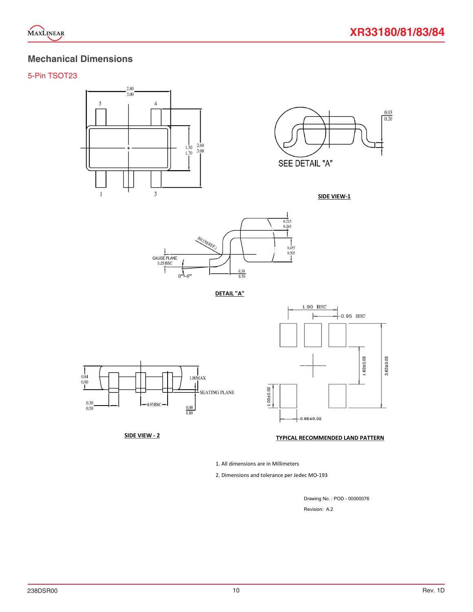

## **Mechanical Dimensions**

#### 5-Pin TSOT23



 $\frac{0.03}{0.20}$ SEE DETAIL "A"







1.90 BSC  $-0.95$  BSC  $1.60 \pm 0.05$  $3.63 + 0.05$  $1.00 + 0.02$  $-0.66 \pm 0.02$ 

#### SIDE VIEW - 2 TYPICAL RECOMMENDED LAND PATTERN

1. All dimensions are in Millimeters

2. Dimensions and tolerance per Jedec MO-193

Drawing No. : POD - 00000076 Revision: A.2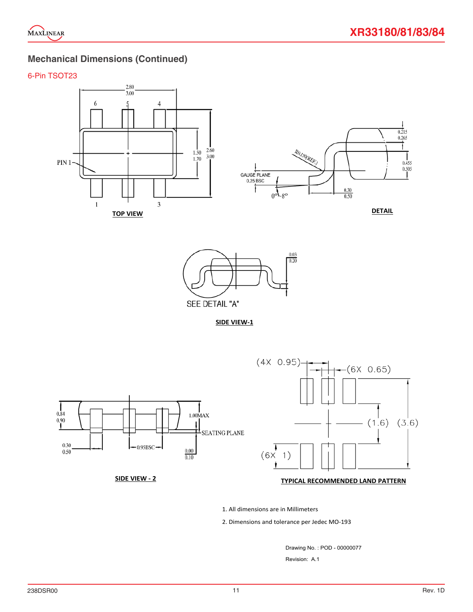

## **Mechanical Dimensions (Continued)**

#### 6-Pin TSOT23





**SIDE VIEW‐1**



#### **SIDE VIEW ‐ 2 TYPICAL RECOMMENDED LAND PATTERN**

1. All dimensions are in Millimeters

2. Dimensions and tolerance per Jedec MO‐193

Drawing No. : POD - 00000077 Revision: A.1